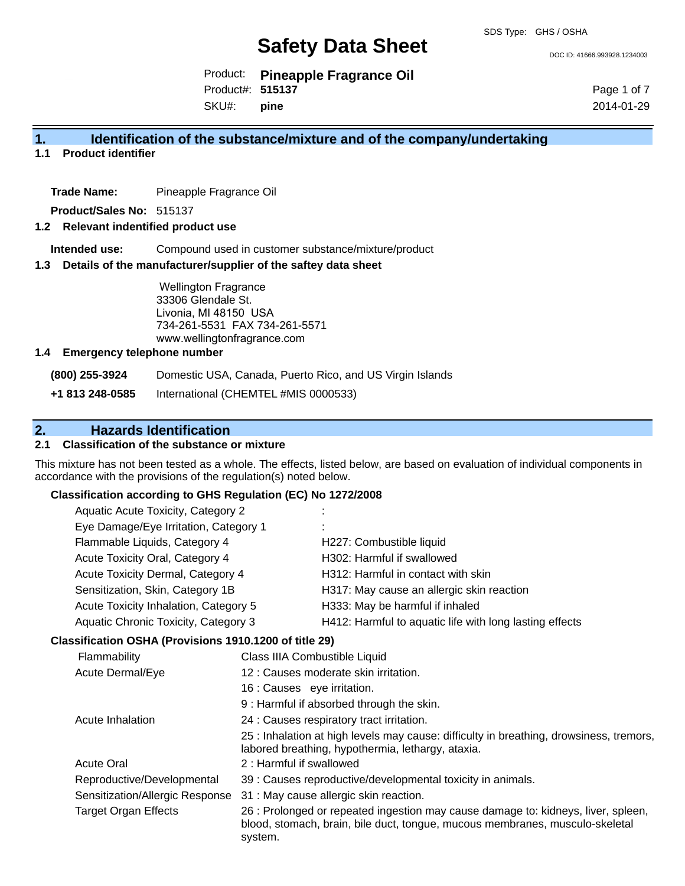DOC ID: 41666.993928.1234003

Product: **Pineapple Fragrance Oil** Product#: **515137**

SKU#: **pine** Page 1 of 7 2014-01-29

### **1. Identification of the substance/mixture and of the company/undertaking**

**1.1 Product identifier**

**Trade Name:** Pineapple Fragrance Oil

**Product/Sales No:** 515137

#### **1.2 Relevant indentified product use**

**Intended use:** Compound used in customer substance/mixture/product

#### **1.3 Details of the manufacturer/supplier of the saftey data sheet**

Wellington Fragrance 33306 Glendale St. Livonia, MI 48150 USA 734-261-5531 FAX 734-261-5571 www.wellingtonfragrance.com

#### **1.4 Emergency telephone number**

**(800) 255-3924** Domestic USA, Canada, Puerto Rico, and US Virgin Islands

**+1 813 248-0585** International (CHEMTEL #MIS 0000533)

# **2. Hazards Identification**

#### **2.1 Classification of the substance or mixture**

This mixture has not been tested as a whole. The effects, listed below, are based on evaluation of individual components in accordance with the provisions of the regulation(s) noted below.

#### **Classification according to GHS Regulation (EC) No 1272/2008**

| Aquatic Acute Toxicity, Category 2    | ÷                                                       |
|---------------------------------------|---------------------------------------------------------|
| Eye Damage/Eye Irritation, Category 1 | ٠.                                                      |
| Flammable Liquids, Category 4         | H227: Combustible liquid                                |
| Acute Toxicity Oral, Category 4       | H302: Harmful if swallowed                              |
| Acute Toxicity Dermal, Category 4     | H312: Harmful in contact with skin                      |
| Sensitization, Skin, Category 1B      | H317: May cause an allergic skin reaction               |
| Acute Toxicity Inhalation, Category 5 | H333: May be harmful if inhaled                         |
| Aquatic Chronic Toxicity, Category 3  | H412: Harmful to aquatic life with long lasting effects |
|                                       |                                                         |

#### **Classification OSHA (Provisions 1910.1200 of title 29)**

| Flammability                    | Class IIIA Combustible Liquid                                                                                                                                                |
|---------------------------------|------------------------------------------------------------------------------------------------------------------------------------------------------------------------------|
| <b>Acute Dermal/Eye</b>         | 12 : Causes moderate skin irritation.                                                                                                                                        |
|                                 | 16 : Causes eye irritation.                                                                                                                                                  |
|                                 | 9: Harmful if absorbed through the skin.                                                                                                                                     |
| Acute Inhalation                | 24 : Causes respiratory tract irritation.                                                                                                                                    |
|                                 | 25 : Inhalation at high levels may cause: difficulty in breathing, drowsiness, tremors,<br>labored breathing, hypothermia, lethargy, ataxia.                                 |
| <b>Acute Oral</b>               | 2: Harmful if swallowed                                                                                                                                                      |
| Reproductive/Developmental      | 39 : Causes reproductive/developmental toxicity in animals.                                                                                                                  |
| Sensitization/Allergic Response | 31 : May cause allergic skin reaction.                                                                                                                                       |
| <b>Target Organ Effects</b>     | 26 : Prolonged or repeated ingestion may cause damage to: kidneys, liver, spleen,<br>blood, stomach, brain, bile duct, tongue, mucous membranes, musculo-skeletal<br>system. |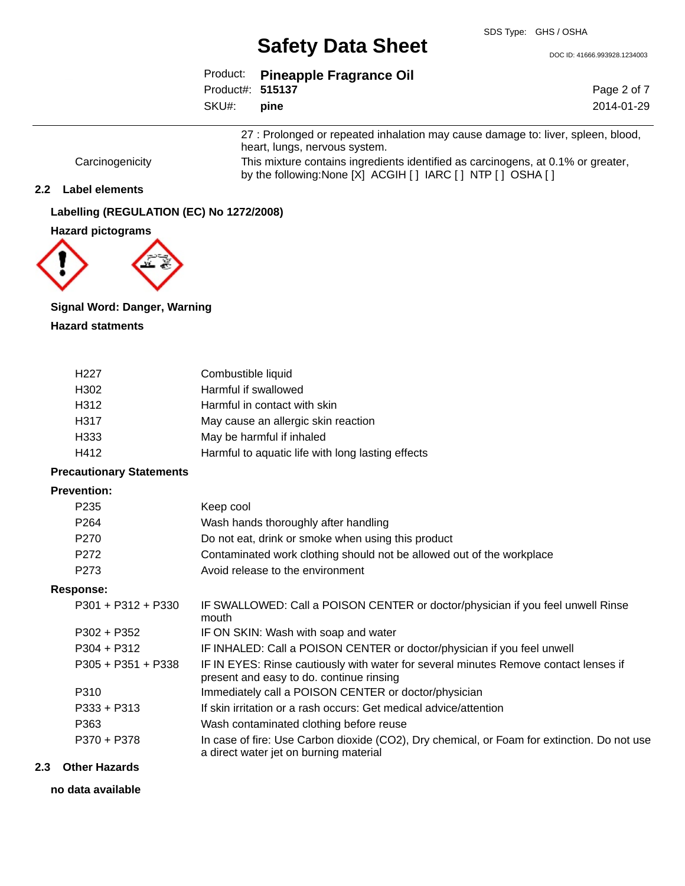DOC ID: 41666.993928.1234003

|                   | Product: Pineapple Fragrance Oil |
|-------------------|----------------------------------|
| Product#: 515137  |                                  |
| SKU#: <b>pine</b> |                                  |

Page 2 of 7 2014-01-29

27 : Prolonged or repeated inhalation may cause damage to: liver, spleen, blood, heart, lungs, nervous system.

Carcinogenicity This mixture contains ingredients identified as carcinogens, at 0.1% or greater, by the following:None [X] ACGIH [ ] IARC [ ] NTP [ ] OSHA [ ]

### **2.2 Label elements**

**Labelling (REGULATION (EC) No 1272/2008)**

#### **Hazard pictograms**



# **Signal Word: Danger, Warning**

**Hazard statments**

| H <sub>227</sub> | Combustible liquid                                |
|------------------|---------------------------------------------------|
| H302             | Harmful if swallowed                              |
| H312             | Harmful in contact with skin                      |
| H317             | May cause an allergic skin reaction               |
| H333             | May be harmful if inhaled                         |
| H412             | Harmful to aquatic life with long lasting effects |

#### **Precautionary Statements**

#### **Prevention:**

| P <sub>235</sub> | Keep cool                                                             |
|------------------|-----------------------------------------------------------------------|
| P264             | Wash hands thoroughly after handling                                  |
| P <sub>270</sub> | Do not eat, drink or smoke when using this product                    |
| P <sub>272</sub> | Contaminated work clothing should not be allowed out of the workplace |
| P <sub>273</sub> | Avoid release to the environment                                      |

#### **Response:**

| P301 + P312 + P330 | IF SWALLOWED: Call a POISON CENTER or doctor/physician if you feel unwell Rinse<br>mouth                                              |
|--------------------|---------------------------------------------------------------------------------------------------------------------------------------|
| P302 + P352        | IF ON SKIN: Wash with soap and water                                                                                                  |
| P304 + P312        | IF INHALED: Call a POISON CENTER or doctor/physician if you feel unwell                                                               |
| P305 + P351 + P338 | IF IN EYES: Rinse cautiously with water for several minutes Remove contact lenses if<br>present and easy to do. continue rinsing      |
| P310               | Immediately call a POISON CENTER or doctor/physician                                                                                  |
| P333 + P313        | If skin irritation or a rash occurs: Get medical advice/attention                                                                     |
| P363               | Wash contaminated clothing before reuse                                                                                               |
| P370 + P378        | In case of fire: Use Carbon dioxide (CO2), Dry chemical, or Foam for extinction. Do not use<br>a direct water jet on burning material |

#### **2.3 Other Hazards**

**no data available**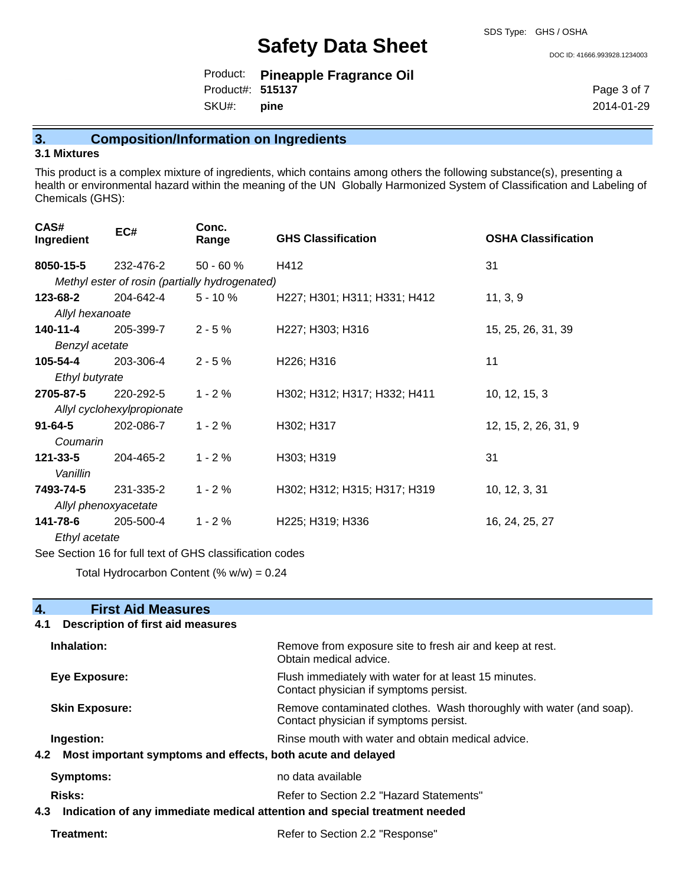DOC ID: 41666.993928.1234003

|                   | Product: Pineapple Fragrance Oil |
|-------------------|----------------------------------|
| Product#: 515137  |                                  |
| SKU#: <b>pine</b> |                                  |

Page 3 of 7 2014-01-29

# **3. Composition/Information on Ingredients**

#### **3.1 Mixtures**

This product is a complex mixture of ingredients, which contains among others the following substance(s), presenting a health or environmental hazard within the meaning of the UN Globally Harmonized System of Classification and Labeling of Chemicals (GHS):

| CAS#<br>Ingredient   | EC#                                            | Conc.<br>Range | <b>GHS Classification</b>           | <b>OSHA Classification</b> |
|----------------------|------------------------------------------------|----------------|-------------------------------------|----------------------------|
| 8050-15-5            | 232-476-2                                      | $50 - 60 \%$   | H412                                | 31                         |
|                      | Methyl ester of rosin (partially hydrogenated) |                |                                     |                            |
| 123-68-2             | 204-642-4                                      | $5 - 10 \%$    | H227; H301; H311; H331; H412        | 11, 3, 9                   |
| Allyl hexanoate      |                                                |                |                                     |                            |
| $140 - 11 - 4$       | 205-399-7                                      | $2 - 5%$       | H227; H303; H316                    | 15, 25, 26, 31, 39         |
| Benzyl acetate       |                                                |                |                                     |                            |
| 105-54-4             | 203-306-4                                      | $2 - 5%$       | H <sub>226</sub> ; H <sub>316</sub> | 11                         |
| Ethyl butyrate       |                                                |                |                                     |                            |
| 2705-87-5            | 220-292-5                                      | $1 - 2%$       | H302; H312; H317; H332; H411        | 10, 12, 15, 3              |
|                      | Allyl cyclohexylpropionate                     |                |                                     |                            |
| $91 - 64 - 5$        | 202-086-7                                      | $1 - 2%$       | H302; H317                          | 12, 15, 2, 26, 31, 9       |
| Coumarin             |                                                |                |                                     |                            |
| $121 - 33 - 5$       | 204-465-2                                      | $1 - 2%$       | H303; H319                          | 31                         |
| Vanillin             |                                                |                |                                     |                            |
| 7493-74-5            | 231-335-2                                      | $1 - 2%$       | H302; H312; H315; H317; H319        | 10, 12, 3, 31              |
| Allyl phenoxyacetate |                                                |                |                                     |                            |
| 141-78-6             | 205-500-4                                      | $1 - 2%$       | H225; H319; H336                    | 16, 24, 25, 27             |
| Ethyl acetate        |                                                |                |                                     |                            |
|                      |                                                |                |                                     |                            |

See Section 16 for full text of GHS classification codes

Total Hydrocarbon Content (%  $w/w$ ) = 0.24

| 4.<br><b>First Aid Measures</b>                                                   |                                                                                                               |  |
|-----------------------------------------------------------------------------------|---------------------------------------------------------------------------------------------------------------|--|
| <b>Description of first aid measures</b><br>4.1                                   |                                                                                                               |  |
| Inhalation:                                                                       | Remove from exposure site to fresh air and keep at rest.<br>Obtain medical advice.                            |  |
| Eye Exposure:                                                                     | Flush immediately with water for at least 15 minutes.<br>Contact physician if symptoms persist.               |  |
| <b>Skin Exposure:</b>                                                             | Remove contaminated clothes. Wash thoroughly with water (and soap).<br>Contact physician if symptoms persist. |  |
| Ingestion:                                                                        | Rinse mouth with water and obtain medical advice.                                                             |  |
| Most important symptoms and effects, both acute and delayed<br>4.2                |                                                                                                               |  |
| Symptoms:                                                                         | no data available                                                                                             |  |
| <b>Risks:</b>                                                                     | Refer to Section 2.2 "Hazard Statements"                                                                      |  |
| Indication of any immediate medical attention and special treatment needed<br>4.3 |                                                                                                               |  |
| Treatment:                                                                        | Refer to Section 2.2 "Response"                                                                               |  |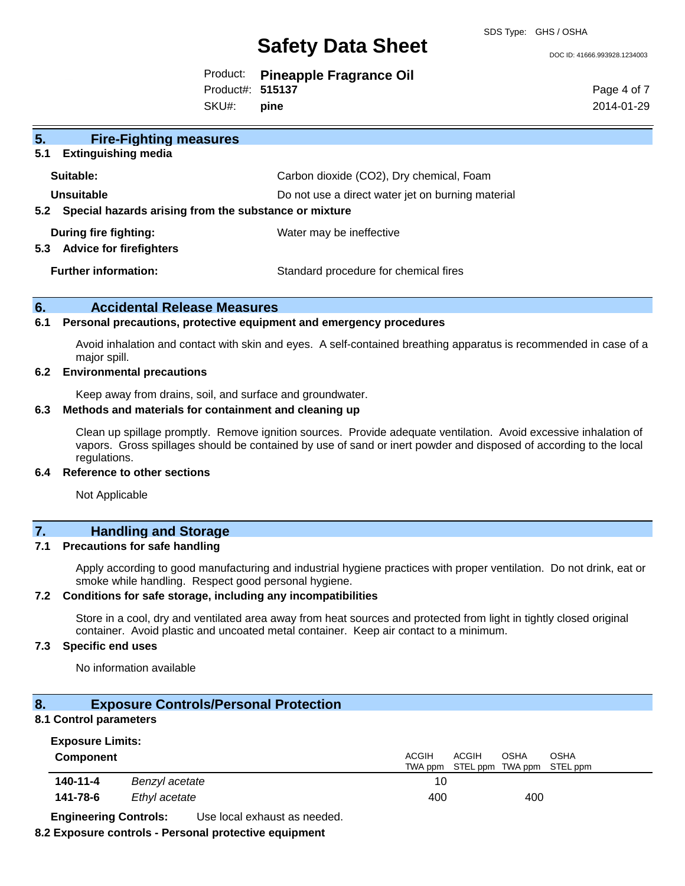DOC ID: 41666.993928.1234003

|                  | Product: Pineapple Fragrance Oil |
|------------------|----------------------------------|
| Product#: 515137 |                                  |

SKU#: **pine** Page 4 of 7 2014-01-29

| 5 <sub>1</sub><br><b>Fire-Fighting measures</b>                |                                                   |  |
|----------------------------------------------------------------|---------------------------------------------------|--|
| <b>Extinguishing media</b><br>5.1                              |                                                   |  |
| Suitable:                                                      | Carbon dioxide (CO2), Dry chemical, Foam          |  |
| Unsuitable                                                     | Do not use a direct water jet on burning material |  |
| Special hazards arising from the substance or mixture<br>5.2   |                                                   |  |
| During fire fighting:<br><b>Advice for firefighters</b><br>5.3 | Water may be ineffective                          |  |
| <b>Further information:</b>                                    | Standard procedure for chemical fires             |  |

#### **6. Accidental Release Measures**

#### **6.1 Personal precautions, protective equipment and emergency procedures**

Avoid inhalation and contact with skin and eyes. A self-contained breathing apparatus is recommended in case of a major spill.

#### **6.2 Environmental precautions**

Keep away from drains, soil, and surface and groundwater.

#### **6.3 Methods and materials for containment and cleaning up**

Clean up spillage promptly. Remove ignition sources. Provide adequate ventilation. Avoid excessive inhalation of vapors. Gross spillages should be contained by use of sand or inert powder and disposed of according to the local regulations.

#### **6.4 Reference to other sections**

Not Applicable

#### **7. Handling and Storage**

#### **7.1 Precautions for safe handling**

Apply according to good manufacturing and industrial hygiene practices with proper ventilation. Do not drink, eat or smoke while handling. Respect good personal hygiene.

#### **7.2 Conditions for safe storage, including any incompatibilities**

Store in a cool, dry and ventilated area away from heat sources and protected from light in tightly closed original container. Avoid plastic and uncoated metal container. Keep air contact to a minimum.

#### **7.3 Specific end uses**

No information available

#### **8. Exposure Controls/Personal Protection**

#### **8.1 Control parameters**

| <b>Exposure Limits:</b> |  |
|-------------------------|--|
|-------------------------|--|

| <b>Component</b> |                | <b>ACGIH</b> | <b>ACGIH</b> | <b>OSHA</b> | <b>OSHA</b><br>TWA ppm STEL ppm TWA ppm STEL ppm |
|------------------|----------------|--------------|--------------|-------------|--------------------------------------------------|
| 140-11-4         | Benzyl acetate | 10           |              |             |                                                  |
| 141-78-6         | Ethyl acetate  | 400          |              | 400         |                                                  |

**Engineering Controls:** Use local exhaust as needed.

#### **8.2 Exposure controls - Personal protective equipment**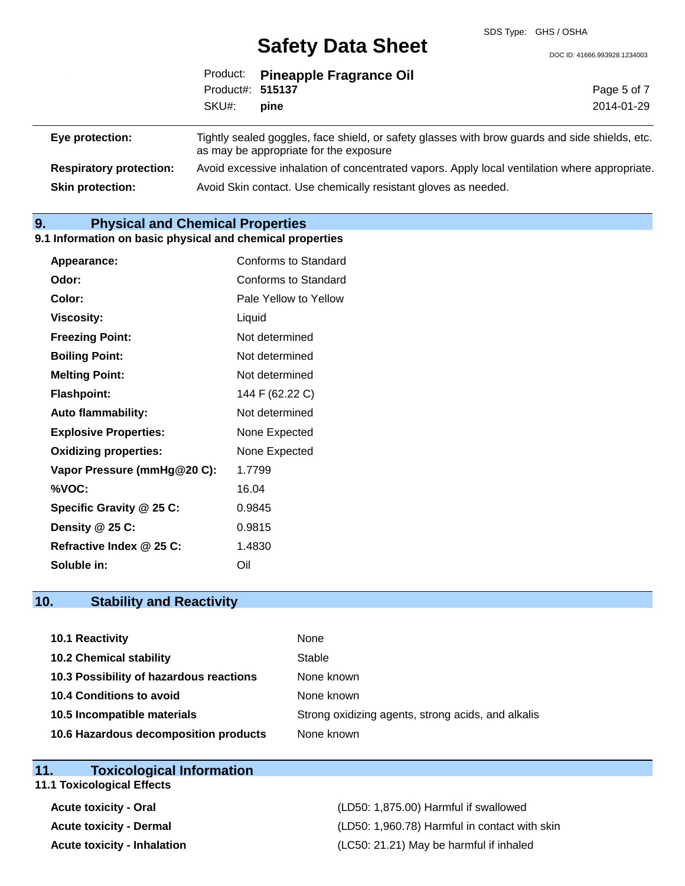DOC ID: 41666.993928.1234003

|                                |                                                                                                                                          | Product: Pineapple Fragrance Oil |             |
|--------------------------------|------------------------------------------------------------------------------------------------------------------------------------------|----------------------------------|-------------|
|                                | Product#: 515137                                                                                                                         |                                  | Page 5 of 7 |
|                                | SKU#:                                                                                                                                    | pine                             | 2014-01-29  |
|                                |                                                                                                                                          |                                  |             |
| Eye protection:                | Tightly sealed goggles, face shield, or safety glasses with brow guards and side shields, etc.<br>as may be appropriate for the exposure |                                  |             |
| <b>Respiratory protection:</b> | Avoid excessive inhalation of concentrated vapors. Apply local ventilation where appropriate.                                            |                                  |             |

**Skin protection:** Avoid Skin contact. Use chemically resistant gloves as needed.

# **9. Physical and Chemical Properties**

#### **9.1 Information on basic physical and chemical properties**

| Appearance:                  | Conforms to Standard  |
|------------------------------|-----------------------|
| Odor:                        | Conforms to Standard  |
| Color:                       | Pale Yellow to Yellow |
| Viscosity:                   | Liquid                |
| <b>Freezing Point:</b>       | Not determined        |
| <b>Boiling Point:</b>        | Not determined        |
| <b>Melting Point:</b>        | Not determined        |
| <b>Flashpoint:</b>           | 144 F (62.22 C)       |
| <b>Auto flammability:</b>    | Not determined        |
| <b>Explosive Properties:</b> | None Expected         |
| <b>Oxidizing properties:</b> | None Expected         |
| Vapor Pressure (mmHg@20 C):  | 1.7799                |
| %VOC:                        | 16.04                 |
| Specific Gravity @ 25 C:     | 0.9845                |
| Density @ 25 C:              | 0.9815                |
| Refractive Index @ 25 C:     | 1.4830                |
| Soluble in:                  | Oil                   |

# **10. Stability and Reactivity**

| 10.1 Reactivity                         | None                                               |
|-----------------------------------------|----------------------------------------------------|
| <b>10.2 Chemical stability</b>          | Stable                                             |
| 10.3 Possibility of hazardous reactions | None known                                         |
| <b>10.4 Conditions to avoid</b>         | None known                                         |
| 10.5 Incompatible materials             | Strong oxidizing agents, strong acids, and alkalis |
| 10.6 Hazardous decomposition products   | None known                                         |

#### **11. Toxicological Information**

# **11.1 Toxicological Effects**

**Acute toxicity - Oral** (LD50: 1,875.00) Harmful if swallowed **Acute toxicity - Dermal** (LD50: 1,960.78) Harmful in contact with skin **Acute toxicity - Inhalation** (LC50: 21.21) May be harmful if inhaled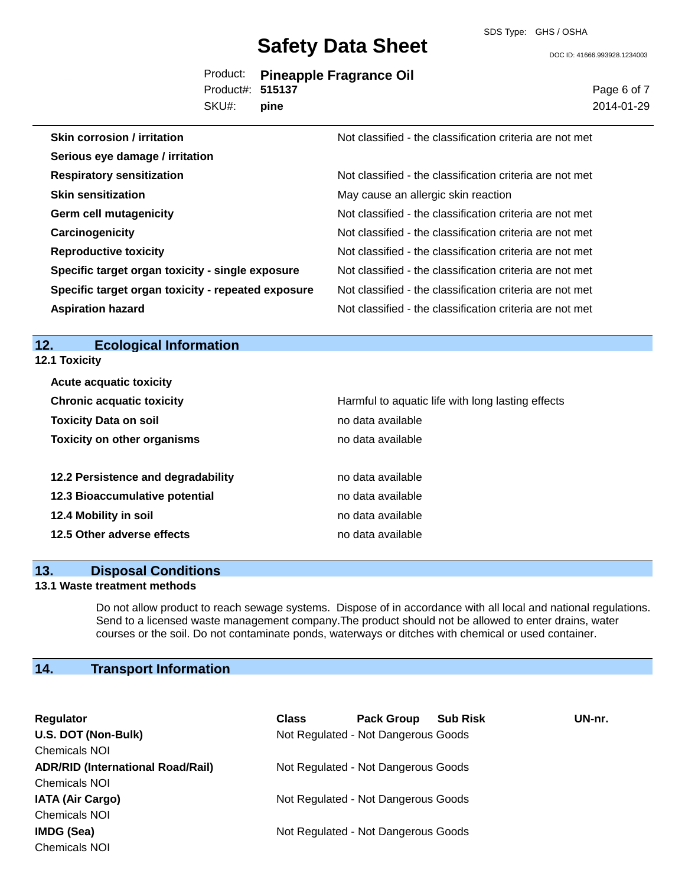SDS Type: GHS / OSHA

DOC ID: 41666.993928.1234003

|                  | Product: Pineapple Fragrance Oil |
|------------------|----------------------------------|
| Product#: 515137 |                                  |
| SKU#: pine       |                                  |

Page 6 of 7 2014-01-29

| <b>Skin corrosion / irritation</b>                 | Not classified - the classification criteria are not met |
|----------------------------------------------------|----------------------------------------------------------|
| Serious eye damage / irritation                    |                                                          |
| <b>Respiratory sensitization</b>                   | Not classified - the classification criteria are not met |
| <b>Skin sensitization</b>                          | May cause an allergic skin reaction                      |
| <b>Germ cell mutagenicity</b>                      | Not classified - the classification criteria are not met |
| Carcinogenicity                                    | Not classified - the classification criteria are not met |
| <b>Reproductive toxicity</b>                       | Not classified - the classification criteria are not met |
| Specific target organ toxicity - single exposure   | Not classified - the classification criteria are not met |
| Specific target organ toxicity - repeated exposure | Not classified - the classification criteria are not met |
| <b>Aspiration hazard</b>                           | Not classified - the classification criteria are not met |

### **12. Ecological Information**

**12.1 Toxicity**

| <b>Acute acquatic toxicity</b>     |                                                   |
|------------------------------------|---------------------------------------------------|
| <b>Chronic acquatic toxicity</b>   | Harmful to aquatic life with long lasting effects |
| <b>Toxicity Data on soil</b>       | no data available                                 |
| <b>Toxicity on other organisms</b> | no data available                                 |
|                                    |                                                   |
| 12.2 Persistence and degradability | no data available                                 |
| 12.3 Bioaccumulative potential     | no data available                                 |
| 12.4 Mobility in soil              | no data available                                 |
| 12.5 Other adverse effects         | no data available                                 |

#### **13. Disposal Conditions**

#### **13.1 Waste treatment methods**

Do not allow product to reach sewage systems. Dispose of in accordance with all local and national regulations. Send to a licensed waste management company.The product should not be allowed to enter drains, water courses or the soil. Do not contaminate ponds, waterways or ditches with chemical or used container.

# **14. Transport Information**

| Regulator                                | <b>Class</b> | <b>Pack Group</b>                   | <b>Sub Risk</b> | UN-nr. |
|------------------------------------------|--------------|-------------------------------------|-----------------|--------|
| U.S. DOT (Non-Bulk)                      |              | Not Regulated - Not Dangerous Goods |                 |        |
| <b>Chemicals NOI</b>                     |              |                                     |                 |        |
| <b>ADR/RID (International Road/Rail)</b> |              | Not Regulated - Not Dangerous Goods |                 |        |
| <b>Chemicals NOI</b>                     |              |                                     |                 |        |
| <b>IATA (Air Cargo)</b>                  |              | Not Regulated - Not Dangerous Goods |                 |        |
| <b>Chemicals NOI</b>                     |              |                                     |                 |        |
| IMDG (Sea)                               |              | Not Regulated - Not Dangerous Goods |                 |        |
| <b>Chemicals NOI</b>                     |              |                                     |                 |        |